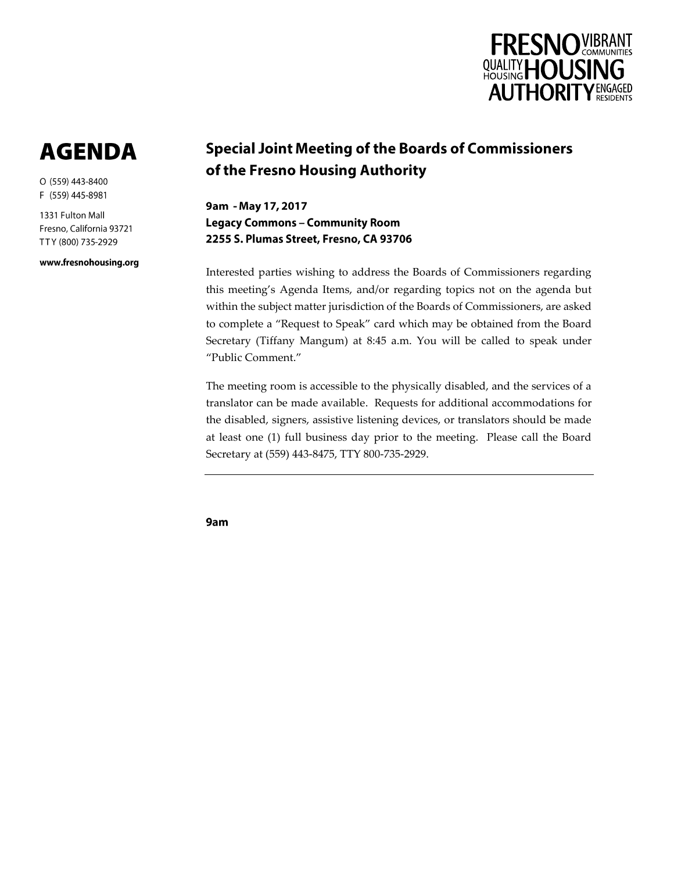

# **AGENDA**

O (559) 443-8400 F (559) 445-8981

1331 Fulton Mall Fresno, California 93721 TTY (800) 735-2929

www.fresnohousing.org

## **Special Joint Meeting of the Boards of Commissioners** of the Fresno Housing Authority

9am - May 17, 2017 **Legacy Commons - Community Room** 2255 S. Plumas Street, Fresno, CA 93706

Interested parties wishing to address the Boards of Commissioners regarding this meeting's Agenda Items, and/or regarding topics not on the agenda but within the subject matter jurisdiction of the Boards of Commissioners, are asked to complete a "Request to Speak" card which may be obtained from the Board Secretary (Tiffany Mangum) at 8:45 a.m. You will be called to speak under "Public Comment."

The meeting room is accessible to the physically disabled, and the services of a translator can be made available. Requests for additional accommodations for the disabled, signers, assistive listening devices, or translators should be made at least one (1) full business day prior to the meeting. Please call the Board Secretary at (559) 443-8475, TTY 800-735-2929.

9am